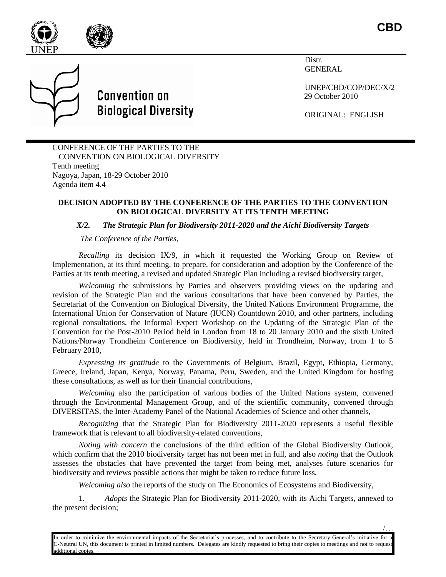

**CBD**

/…



**Convention on Biological Diversity**  Distr. **GENERAL** 

UNEP/CBD/COP/DEC/X/2 29 October 2010

ORIGINAL: ENGLISH

CONFERENCE OF THE PARTIES TO THE CONVENTION ON BIOLOGICAL DIVERSITY Tenth meeting Nagoya, Japan, 18-29 October 2010 Agenda item 4.4

### **DECISION ADOPTED BY THE CONFERENCE OF THE PARTIES TO THE CONVENTION ON BIOLOGICAL DIVERSITY AT ITS TENTH MEETING**

### *X/2. The Strategic Plan for Biodiversity 2011-2020 and the Aichi Biodiversity Targets*

*The Conference of the Parties,*

*Recalling* its decision IX/9, in which it requested the Working Group on Review of Implementation, at its third meeting, to prepare, for consideration and adoption by the Conference of the Parties at its tenth meeting, a revised and updated Strategic Plan including a revised biodiversity target,

*Welcoming* the submissions by Parties and observers providing views on the updating and revision of the Strategic Plan and the various consultations that have been convened by Parties, the Secretariat of the Convention on Biological Diversity, the United Nations Environment Programme, the International Union for Conservation of Nature (IUCN) Countdown 2010, and other partners, including regional consultations, the Informal Expert Workshop on the Updating of the Strategic Plan of the Convention for the Post-2010 Period held in London from 18 to 20 January 2010 and the sixth United Nations/Norway Trondheim Conference on Biodiversity, held in Trondheim, Norway, from 1 to 5 February 2010,

*Expressing its gratitude* to the Governments of Belgium, Brazil, Egypt, Ethiopia, Germany, Greece, Ireland, Japan, Kenya, Norway, Panama, Peru, Sweden, and the United Kingdom for hosting these consultations, as well as for their financial contributions,

*Welcoming* also the participation of various bodies of the United Nations system, convened through the Environmental Management Group, and of the scientific community, convened through DIVERSITAS, the Inter-Academy Panel of the National Academies of Science and other channels,

*Recognizing* that the Strategic Plan for Biodiversity 2011-2020 represents a useful flexible framework that is relevant to all biodiversity-related conventions,

*Noting with concern* the conclusions of the third edition of the Global Biodiversity Outlook, which confirm that the 2010 biodiversity target has not been met in full, and also *noting* that the Outlook assesses the obstacles that have prevented the target from being met, analyses future scenarios for biodiversity and reviews possible actions that might be taken to reduce future loss,

*Welcoming also* the reports of the study on The Economics of Ecosystems and Biodiversity,

1. *Adopts* the Strategic Plan for Biodiversity 2011-2020, with its Aichi Targets, annexed to the present decision;

In order to minimize the environmental impacts of the Secretariat's processes, and to contribute to the Secretary-General's initiative for a C-Neutral UN, this document is printed in limited numbers. Delegates are kindly requested to bring their copies to meetings and not to request additional copies.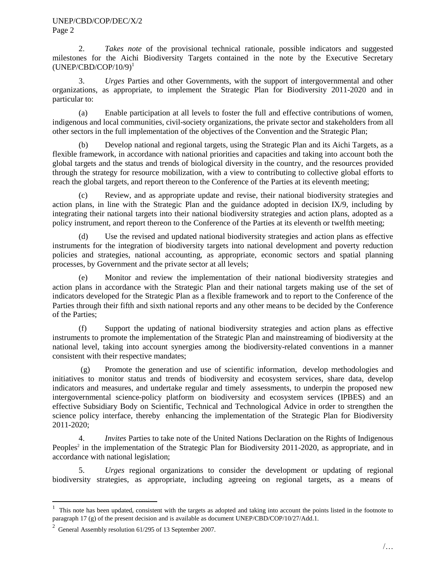#### UNEP/CBD/COP/DEC/X/2 Page 2

2. *Takes note* of the provisional technical rationale, possible indicators and suggested milestones for the Aichi Biodiversity Targets contained in the note by the Executive Secretary  $(UNEP/CBD/COP/10/9)^{1}$ 

3. *Urges* Parties and other Governments, with the support of intergovernmental and other organizations, as appropriate, to implement the Strategic Plan for Biodiversity 2011-2020 and in particular to:

(a) Enable participation at all levels to foster the full and effective contributions of women, indigenous and local communities, civil-society organizations, the private sector and stakeholders from all other sectors in the full implementation of the objectives of the Convention and the Strategic Plan;

(b) Develop national and regional targets, using the Strategic Plan and its Aichi Targets, as a flexible framework, in accordance with national priorities and capacities and taking into account both the global targets and the status and trends of biological diversity in the country, and the resources provided through the strategy for resource mobilization, with a view to contributing to collective global efforts to reach the global targets, and report thereon to the Conference of the Parties at its eleventh meeting;

(c) Review, and as appropriate update and revise, their national biodiversity strategies and action plans, in line with the Strategic Plan and the guidance adopted in decision IX/9, including by integrating their national targets into their national biodiversity strategies and action plans, adopted as a policy instrument, and report thereon to the Conference of the Parties at its eleventh or twelfth meeting;

(d) Use the revised and updated national biodiversity strategies and action plans as effective instruments for the integration of biodiversity targets into national development and poverty reduction policies and strategies, national accounting, as appropriate, economic sectors and spatial planning processes, by Government and the private sector at all levels;

(e) Monitor and review the implementation of their national biodiversity strategies and action plans in accordance with the Strategic Plan and their national targets making use of the set of indicators developed for the Strategic Plan as a flexible framework and to report to the Conference of the Parties through their fifth and sixth national reports and any other means to be decided by the Conference of the Parties;

(f) Support the updating of national biodiversity strategies and action plans as effective instruments to promote the implementation of the Strategic Plan and mainstreaming of biodiversity at the national level, taking into account synergies among the biodiversity-related conventions in a manner consistent with their respective mandates;

(g) Promote the generation and use of scientific information, develop methodologies and initiatives to monitor status and trends of biodiversity and ecosystem services, share data, develop indicators and measures, and undertake regular and timely assessments, to underpin the proposed new intergovernmental science-policy platform on biodiversity and ecosystem services (IPBES) and an effective Subsidiary Body on Scientific, Technical and Technological Advice in order to strengthen the science policy interface, thereby enhancing the implementation of the Strategic Plan for Biodiversity 2011-2020;

4. *Invites* Parties to take note of the United Nations Declaration on the Rights of Indigenous Peoples<sup>2</sup> in the implementation of the Strategic Plan for Biodiversity 2011-2020, as appropriate, and in accordance with national legislation;

5. *Urges* regional organizations to consider the development or updating of regional biodiversity strategies, as appropriate, including agreeing on regional targets, as a means of

l

<sup>1</sup> This note has been updated, consistent with the targets as adopted and taking into account the points listed in the footnote to paragraph 17 (g) of the present decision and is available as document UNEP/CBD/COP/10/27/Add.1.

<sup>&</sup>lt;sup>2</sup> General Assembly resolution 61/295 of 13 September 2007.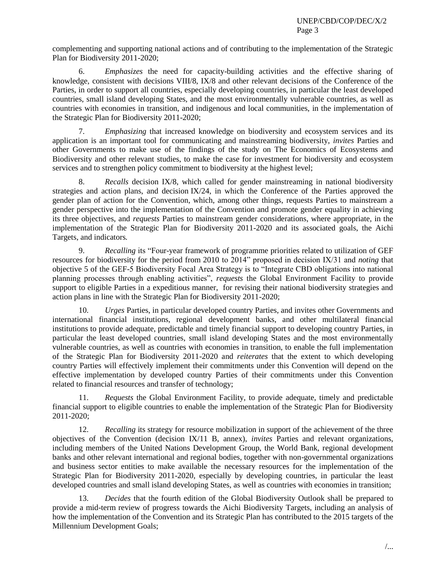complementing and supporting national actions and of contributing to the implementation of the Strategic Plan for Biodiversity 2011-2020;

6. *Emphasizes* the need for capacity-building activities and the effective sharing of knowledge, consistent with decisions VIII/8, IX/8 and other relevant decisions of the Conference of the Parties, in order to support all countries, especially developing countries, in particular the least developed countries, small island developing States, and the most environmentally vulnerable countries, as well as countries with economies in transition, and indigenous and local communities, in the implementation of the Strategic Plan for Biodiversity 2011-2020;

7. *Emphasizing* that increased knowledge on biodiversity and ecosystem services and its application is an important tool for communicating and mainstreaming biodiversity, *invites* Parties and other Governments to make use of the findings of the study on The Economics of Ecosystems and Biodiversity and other relevant studies, to make the case for investment for biodiversity and ecosystem services and to strengthen policy commitment to biodiversity at the highest level;

8. *Recalls* decision IX/8, which called for gender mainstreaming in national biodiversity strategies and action plans, and decision IX/24, in which the Conference of the Parties approved the gender plan of action for the Convention, which, among other things, requests Parties to mainstream a gender perspective into the implementation of the Convention and promote gender equality in achieving its three objectives, and *requests* Parties to mainstream gender considerations, where appropriate, in the implementation of the Strategic Plan for Biodiversity 2011-2020 and its associated goals, the Aichi Targets, and indicators*.* 

9. *Recalling* its "Four-year framework of programme priorities related to utilization of GEF resources for biodiversity for the period from 2010 to 2014" proposed in decision IX/31 and *noting* that objective 5 of the GEF-5 Biodiversity Focal Area Strategy is to "Integrate CBD obligations into national planning processes through enabling activities", *requests* the Global Environment Facility to provide support to eligible Parties in a expeditious manner, for revising their national biodiversity strategies and action plans in line with the Strategic Plan for Biodiversity 2011-2020;

10. *Urges* Parties, in particular developed country Parties, and invites other Governments and international financial institutions, regional development banks, and other multilateral financial institutions to provide adequate, predictable and timely financial support to developing country Parties, in particular the least developed countries, small island developing States and the most environmentally vulnerable countries, as well as countries with economies in transition, to enable the full implementation of the Strategic Plan for Biodiversity 2011-2020 and *reiterates* that the extent to which developing country Parties will effectively implement their commitments under this Convention will depend on the effective implementation by developed country Parties of their commitments under this Convention related to financial resources and transfer of technology;

11. *Requests* the Global Environment Facility, to provide adequate, timely and predictable financial support to eligible countries to enable the implementation of the Strategic Plan for Biodiversity 2011-2020;

12. *Recalling* its strategy for resource mobilization in support of the achievement of the three objectives of the Convention (decision IX/11 B, annex), *invites* Parties and relevant organizations, including members of the United Nations Development Group, the World Bank, regional development banks and other relevant international and regional bodies, together with non-governmental organizations and business sector entities to make available the necessary resources for the implementation of the Strategic Plan for Biodiversity 2011-2020, especially by developing countries, in particular the least developed countries and small island developing States, as well as countries with economies in transition;

13. *Decides* that the fourth edition of the Global Biodiversity Outlook shall be prepared to provide a mid-term review of progress towards the Aichi Biodiversity Targets, including an analysis of how the implementation of the Convention and its Strategic Plan has contributed to the 2015 targets of the Millennium Development Goals;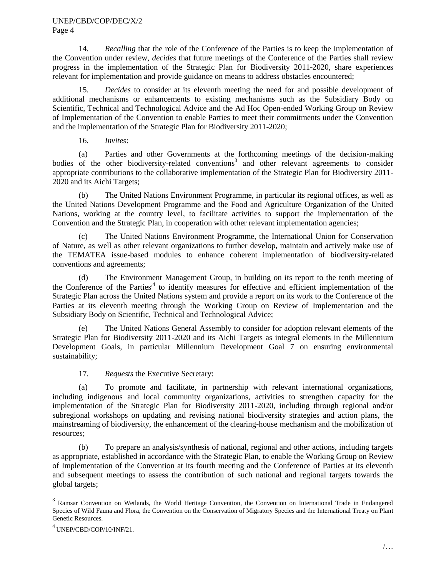14. *Recalling* that the role of the Conference of the Parties is to keep the implementation of the Convention under review, *decides* that future meetings of the Conference of the Parties shall review progress in the implementation of the Strategic Plan for Biodiversity 2011-2020, share experiences relevant for implementation and provide guidance on means to address obstacles encountered;

15. *Decides* to consider at its eleventh meeting the need for and possible development of additional mechanisms or enhancements to existing mechanisms such as the Subsidiary Body on Scientific, Technical and Technological Advice and the Ad Hoc Open-ended Working Group on Review of Implementation of the Convention to enable Parties to meet their commitments under the Convention and the implementation of the Strategic Plan for Biodiversity 2011-2020;

16. *Invites*:

(a) Parties and other Governments at the forthcoming meetings of the decision-making bodies of the other biodiversity-related conventions<sup>3</sup> and other relevant agreements to consider appropriate contributions to the collaborative implementation of the Strategic Plan for Biodiversity 2011- 2020 and its Aichi Targets;

(b) The United Nations Environment Programme, in particular its regional offices, as well as the United Nations Development Programme and the Food and Agriculture Organization of the United Nations, working at the country level, to facilitate activities to support the implementation of the Convention and the Strategic Plan, in cooperation with other relevant implementation agencies;

(c) The United Nations Environment Programme, the International Union for Conservation of Nature, as well as other relevant organizations to further develop, maintain and actively make use of the TEMATEA issue-based modules to enhance coherent implementation of biodiversity-related conventions and agreements;

(d) The Environment Management Group, in building on its report to the tenth meeting of the Conference of the Parties<sup>,4</sup> to identify measures for effective and efficient implementation of the Strategic Plan across the United Nations system and provide a report on its work to the Conference of the Parties at its eleventh meeting through the Working Group on Review of Implementation and the Subsidiary Body on Scientific, Technical and Technological Advice;

(e) The United Nations General Assembly to consider for adoption relevant elements of the Strategic Plan for Biodiversity 2011-2020 and its Aichi Targets as integral elements in the Millennium Development Goals, in particular Millennium Development Goal 7 on ensuring environmental sustainability;

17. *Requests* the Executive Secretary:

(a) To promote and facilitate, in partnership with relevant international organizations, including indigenous and local community organizations, activities to strengthen capacity for the implementation of the Strategic Plan for Biodiversity 2011-2020, including through regional and/or subregional workshops on updating and revising national biodiversity strategies and action plans, the mainstreaming of biodiversity, the enhancement of the clearing-house mechanism and the mobilization of resources;

(b) To prepare an analysis/synthesis of national, regional and other actions, including targets as appropriate, established in accordance with the Strategic Plan, to enable the Working Group on Review of Implementation of the Convention at its fourth meeting and the Conference of Parties at its eleventh and subsequent meetings to assess the contribution of such national and regional targets towards the global targets;

<sup>&</sup>lt;sup>3</sup> Ramsar Convention on Wetlands, the World Heritage Convention, the Convention on International Trade in Endangered Species of Wild Fauna and Flora, the Convention on the Conservation of Migratory Species and the International Treaty on Plant Genetic Resources.

<sup>4</sup> UNEP/CBD/COP/10/INF/21.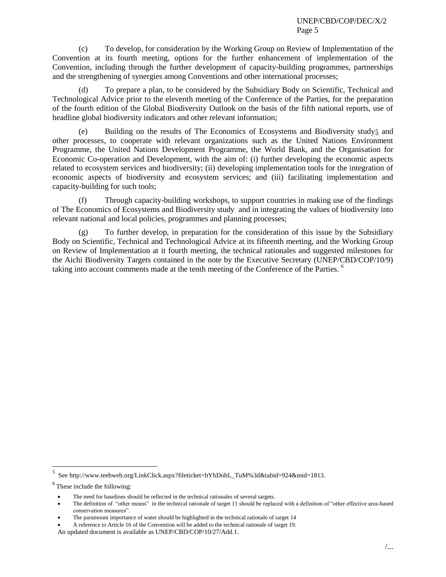(c) To develop, for consideration by the Working Group on Review of Implementation of the Convention at its fourth meeting, options for the further enhancement of implementation of the Convention, including through the further development of capacity-building programmes, partnerships and the strengthening of synergies among Conventions and other international processes;

(d) To prepare a plan, to be considered by the Subsidiary Body on Scientific, Technical and Technological Advice prior to the eleventh meeting of the Conference of the Parties, for the preparation of the fourth edition of the Global Biodiversity Outlook on the basis of the fifth national reports, use of headline global biodiversity indicators and other relevant information;

(e) Building on the results of The Economics of Ecosystems and Biodiversity study5 and other processes, to cooperate with relevant organizations such as the United Nations Environment Programme, the United Nations Development Programme, the World Bank, and the Organisation for Economic Co-operation and Development, with the aim of: (i) further developing the economic aspects related to ecosystem services and biodiversity; (ii) developing implementation tools for the integration of economic aspects of biodiversity and ecosystem services; and (iii) facilitating implementation and capacity-building for such tools;

(f) Through capacity-building workshops, to support countries in making use of the findings of The Economics of Ecosystems and Biodiversity study and in integrating the values of biodiversity into relevant national and local policies, programmes and planning processes;

(g) To further develop, in preparation for the consideration of this issue by the Subsidiary Body on Scientific, Technical and Technological Advice at its fifteenth meeting, and the Working Group on Review of Implementation at it fourth meeting, the technical rationales and suggested milestones for the Aichi Biodiversity Targets contained in the note by the Executive Secretary (UNEP/CBD/COP/10/9) taking into account comments made at the tenth meeting of the Conference of the Parties. <sup>6</sup>

l

<sup>5</sup> See http://www.teebweb.org/LinkClick.aspx?fileticket=bYhDohL\_TuM%3d&tabid=924&mid=1813.

 $6$  These include the following:

The need for baselines should be reflected in the technical rationales of several targets.

The definition of "other means" in the technical rationale of target 11 should be replaced with a definition of "other effective area-based conservation measures".

The paramount importance of water should be highlighted in the technical rationale of target 14

A reference to Article 16 of the Convention will be added to the technical rationale of target 19.

An updated document is available as UNEP/CBD/COP/10/27/Add.1.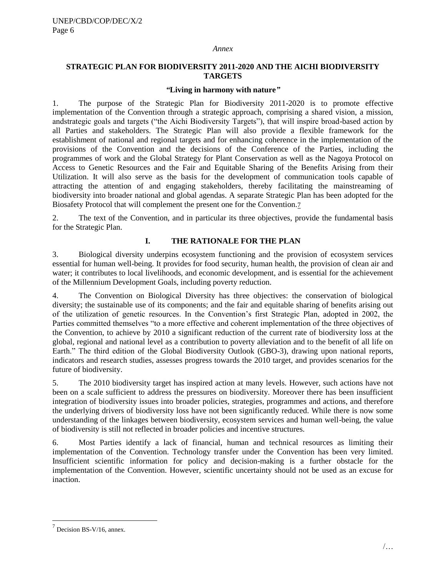#### *Annex*

# **STRATEGIC PLAN FOR BIODIVERSITY 2011-2020 AND THE AICHI BIODIVERSITY TARGETS**

#### *"***Living in harmony with nature***"*

1. The purpose of the Strategic Plan for Biodiversity 2011-2020 is to promote effective implementation of the Convention through a strategic approach, comprising a shared vision, a mission, andstrategic goals and targets ("the Aichi Biodiversity Targets"), that will inspire broad-based action by all Parties and stakeholders. The Strategic Plan will also provide a flexible framework for the establishment of national and regional targets and for enhancing coherence in the implementation of the provisions of the Convention and the decisions of the Conference of the Parties, including the programmes of work and the Global Strategy for Plant Conservation as well as the Nagoya Protocol on Access to Genetic Resources and the Fair and Equitable Sharing of the Benefits Arising from their Utilization. It will also serve as the basis for the development of communication tools capable of attracting the attention of and engaging stakeholders, thereby facilitating the mainstreaming of biodiversity into broader national and global agendas. A separate Strategic Plan has been adopted for the Biosafety Protocol that will complement the present one for the Convention.7

2. The text of the Convention, and in particular its three objectives, provide the fundamental basis for the Strategic Plan.

# **I. THE RATIONALE FOR THE PLAN**

3. Biological diversity underpins ecosystem functioning and the provision of ecosystem services essential for human well-being. It provides for food security, human health, the provision of clean air and water; it contributes to local livelihoods, and economic development, and is essential for the achievement of the Millennium Development Goals, including poverty reduction.

4. The Convention on Biological Diversity has three objectives: the conservation of biological diversity; the sustainable use of its components; and the fair and equitable sharing of benefits arising out of the utilization of genetic resources. In the Convention's first Strategic Plan, adopted in 2002, the Parties committed themselves "to a more effective and coherent implementation of the three objectives of the Convention, to achieve by 2010 a significant reduction of the current rate of biodiversity loss at the global, regional and national level as a contribution to poverty alleviation and to the benefit of all life on Earth." The third edition of the Global Biodiversity Outlook (GBO-3), drawing upon national reports, indicators and research studies, assesses progress towards the 2010 target, and provides scenarios for the future of biodiversity.

5. The 2010 biodiversity target has inspired action at many levels. However, such actions have not been on a scale sufficient to address the pressures on biodiversity. Moreover there has been insufficient integration of biodiversity issues into broader policies, strategies, programmes and actions, and therefore the underlying drivers of biodiversity loss have not been significantly reduced. While there is now some understanding of the linkages between biodiversity, ecosystem services and human well-being, the value of biodiversity is still not reflected in broader policies and incentive structures.

6. Most Parties identify a lack of financial, human and technical resources as limiting their implementation of the Convention. Technology transfer under the Convention has been very limited. Insufficient scientific information for policy and decision-making is a further obstacle for the implementation of the Convention. However, scientific uncertainty should not be used as an excuse for inaction.

 $7$  Decision BS-V/16, annex.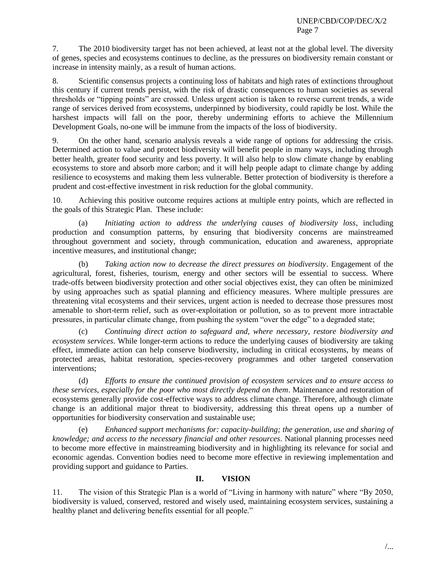7. The 2010 biodiversity target has not been achieved, at least not at the global level. The diversity of genes, species and ecosystems continues to decline, as the pressures on biodiversity remain constant or increase in intensity mainly, as a result of human actions.

8. Scientific consensus projects a continuing loss of habitats and high rates of extinctions throughout this century if current trends persist, with the risk of drastic consequences to human societies as several thresholds or "tipping points" are crossed. Unless urgent action is taken to reverse current trends, a wide range of services derived from ecosystems, underpinned by biodiversity, could rapidly be lost. While the harshest impacts will fall on the poor, thereby undermining efforts to achieve the Millennium Development Goals, no-one will be immune from the impacts of the loss of biodiversity.

9. On the other hand, scenario analysis reveals a wide range of options for addressing the crisis. Determined action to value and protect biodiversity will benefit people in many ways, including through better health, greater food security and less poverty. It will also help to slow climate change by enabling ecosystems to store and absorb more carbon; and it will help people adapt to climate change by adding resilience to ecosystems and making them less vulnerable. Better protection of biodiversity is therefore a prudent and cost-effective investment in risk reduction for the global community.

10. Achieving this positive outcome requires actions at multiple entry points, which are reflected in the goals of this Strategic Plan. These include:

(a) *Initiating action to address the underlying causes of biodiversity loss*, including production and consumption patterns, by ensuring that biodiversity concerns are mainstreamed throughout government and society, through communication, education and awareness, appropriate incentive measures, and institutional change;

(b) *Taking action now to decrease the direct pressures on biodiversity*. Engagement of the agricultural, forest, fisheries, tourism, energy and other sectors will be essential to success. Where trade-offs between biodiversity protection and other social objectives exist, they can often be minimized by using approaches such as spatial planning and efficiency measures. Where multiple pressures are threatening vital ecosystems and their services, urgent action is needed to decrease those pressures most amenable to short-term relief, such as over-exploitation or pollution, so as to prevent more intractable pressures, in particular climate change, from pushing the system "over the edge" to a degraded state;

(c) *Continuing direct action to safeguard and, where necessary, restore biodiversity and ecosystem services*. While longer-term actions to reduce the underlying causes of biodiversity are taking effect, immediate action can help conserve biodiversity, including in critical ecosystems, by means of protected areas, habitat restoration, species-recovery programmes and other targeted conservation interventions;

(d) *Efforts to ensure the continued provision of ecosystem services and to ensure access to these services, especially for the poor who most directly depend on them*. Maintenance and restoration of ecosystems generally provide cost-effective ways to address climate change. Therefore, although climate change is an additional major threat to biodiversity, addressing this threat opens up a number of opportunities for biodiversity conservation and sustainable use;

(e) *Enhanced support mechanisms for: capacity-building; the generation, use and sharing of knowledge; and access to the necessary financial and other resources*. National planning processes need to become more effective in mainstreaming biodiversity and in highlighting its relevance for social and economic agendas. Convention bodies need to become more effective in reviewing implementation and providing support and guidance to Parties.

# **II. VISION**

11. The vision of this Strategic Plan is a world of "Living in harmony with nature" where "By 2050, biodiversity is valued, conserved, restored and wisely used, maintaining ecosystem services, sustaining a healthy planet and delivering benefits essential for all people."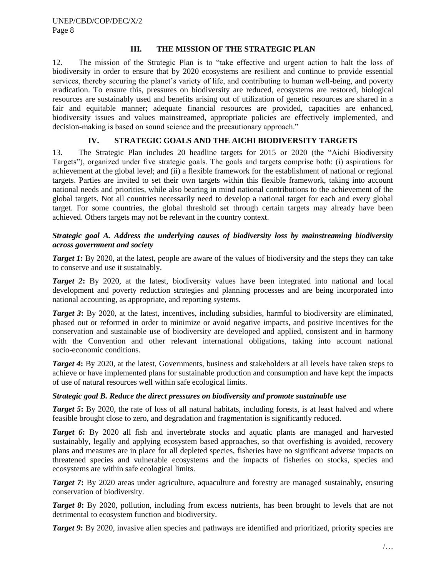# **III. THE MISSION OF THE STRATEGIC PLAN**

12. The mission of the Strategic Plan is to "take effective and urgent action to halt the loss of biodiversity in order to ensure that by 2020 ecosystems are resilient and continue to provide essential services, thereby securing the planet's variety of life, and contributing to human well-being, and poverty eradication. To ensure this, pressures on biodiversity are reduced, ecosystems are restored, biological resources are sustainably used and benefits arising out of utilization of genetic resources are shared in a fair and equitable manner; adequate financial resources are provided, capacities are enhanced, biodiversity issues and values mainstreamed, appropriate policies are effectively implemented, and decision-making is based on sound science and the precautionary approach."

# **IV. STRATEGIC GOALS AND THE AICHI BIODIVERSITY TARGETS**

13. The Strategic Plan includes 20 headline targets for 2015 or 2020 (the "Aichi Biodiversity Targets"), organized under five strategic goals. The goals and targets comprise both: (i) aspirations for achievement at the global level; and (ii) a flexible framework for the establishment of national or regional targets. Parties are invited to set their own targets within this flexible framework, taking into account national needs and priorities, while also bearing in mind national contributions to the achievement of the global targets. Not all countries necessarily need to develop a national target for each and every global target. For some countries, the global threshold set through certain targets may already have been achieved. Others targets may not be relevant in the country context.

# *Strategic goal A. Address the underlying causes of biodiversity loss by mainstreaming biodiversity across government and society*

*Target 1***:** By 2020, at the latest, people are aware of the values of biodiversity and the steps they can take to conserve and use it sustainably.

*Target 2*: By 2020, at the latest, biodiversity values have been integrated into national and local development and poverty reduction strategies and planning processes and are being incorporated into national accounting, as appropriate, and reporting systems.

*Target 3***:** By 2020, at the latest, incentives, including subsidies, harmful to biodiversity are eliminated, phased out or reformed in order to minimize or avoid negative impacts, and positive incentives for the conservation and sustainable use of biodiversity are developed and applied, consistent and in harmony with the Convention and other relevant international obligations, taking into account national socio-economic conditions.

*Target 4***:** By 2020, at the latest, Governments, business and stakeholders at all levels have taken steps to achieve or have implemented plans for sustainable production and consumption and have kept the impacts of use of natural resources well within safe ecological limits.

### *Strategic goal B. Reduce the direct pressures on biodiversity and promote sustainable use*

*Target 5*: By 2020, the rate of loss of all natural habitats, including forests, is at least halved and where feasible brought close to zero, and degradation and fragmentation is significantly reduced.

*Target 6*: By 2020 all fish and invertebrate stocks and aquatic plants are managed and harvested sustainably, legally and applying ecosystem based approaches, so that overfishing is avoided, recovery plans and measures are in place for all depleted species, fisheries have no significant adverse impacts on threatened species and vulnerable ecosystems and the impacts of fisheries on stocks, species and ecosystems are within safe ecological limits.

*Target 7*: By 2020 areas under agriculture, aquaculture and forestry are managed sustainably, ensuring conservation of biodiversity.

*Target 8***:** By 2020, pollution, including from excess nutrients, has been brought to levels that are not detrimental to ecosystem function and biodiversity.

*Target 9*: By 2020, invasive alien species and pathways are identified and prioritized, priority species are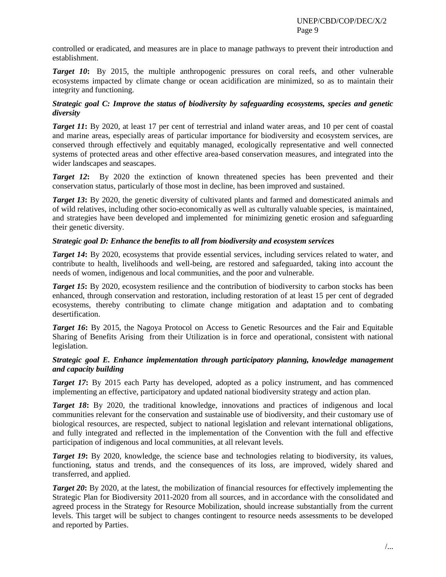controlled or eradicated, and measures are in place to manage pathways to prevent their introduction and establishment.

*Target 10***:** By 2015, the multiple anthropogenic pressures on coral reefs, and other vulnerable ecosystems impacted by climate change or ocean acidification are minimized, so as to maintain their integrity and functioning.

# *Strategic goal C: Improve the status of biodiversity by safeguarding ecosystems, species and genetic diversity*

*Target 11***:** By 2020, at least 17 per cent of terrestrial and inland water areas, and 10 per cent of coastal and marine areas, especially areas of particular importance for biodiversity and ecosystem services, are conserved through effectively and equitably managed, ecologically representative and well connected systems of protected areas and other effective area-based conservation measures, and integrated into the wider landscapes and seascapes.

*Target 12*: By 2020 the extinction of known threatened species has been prevented and their conservation status, particularly of those most in decline, has been improved and sustained.

*Target 13*: By 2020, the genetic diversity of cultivated plants and farmed and domesticated animals and of wild relatives, including other socio-economically as well as culturally valuable species, is maintained, and strategies have been developed and implemented for minimizing genetic erosion and safeguarding their genetic diversity.

### *Strategic goal D: Enhance the benefits to all from biodiversity and ecosystem services*

*Target 14*: By 2020, ecosystems that provide essential services, including services related to water, and contribute to health, livelihoods and well-being, are restored and safeguarded, taking into account the needs of women, indigenous and local communities, and the poor and vulnerable.

*Target 15*: By 2020, ecosystem resilience and the contribution of biodiversity to carbon stocks has been enhanced, through conservation and restoration, including restoration of at least 15 per cent of degraded ecosystems, thereby contributing to climate change mitigation and adaptation and to combating desertification.

*Target 16*: By 2015, the Nagoya Protocol on Access to Genetic Resources and the Fair and Equitable Sharing of Benefits Arising from their Utilization is in force and operational, consistent with national legislation.

# *Strategic goal E. Enhance implementation through participatory planning, knowledge management and capacity building*

*Target 17*: By 2015 each Party has developed, adopted as a policy instrument, and has commenced implementing an effective, participatory and updated national biodiversity strategy and action plan.

*Target 18*: By 2020, the traditional knowledge, innovations and practices of indigenous and local communities relevant for the conservation and sustainable use of biodiversity, and their customary use of biological resources, are respected, subject to national legislation and relevant international obligations, and fully integrated and reflected in the implementation of the Convention with the full and effective participation of indigenous and local communities, at all relevant levels.

*Target 19*: By 2020, knowledge, the science base and technologies relating to biodiversity, its values, functioning, status and trends, and the consequences of its loss, are improved, widely shared and transferred, and applied.

*Target 20*: By 2020, at the latest, the mobilization of financial resources for effectively implementing the Strategic Plan for Biodiversity 2011-2020 from all sources, and in accordance with the consolidated and agreed process in the Strategy for Resource Mobilization, should increase substantially from the current levels. This target will be subject to changes contingent to resource needs assessments to be developed and reported by Parties.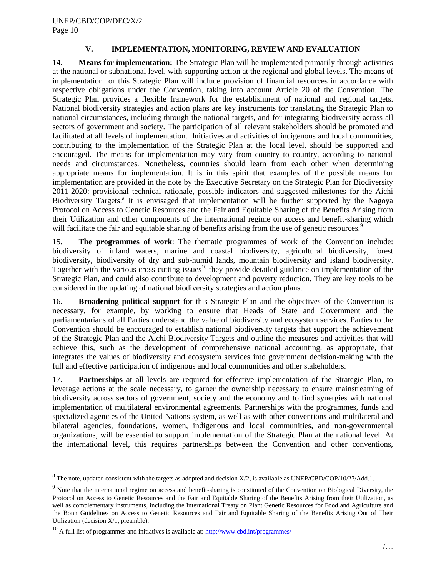# **V. IMPLEMENTATION, MONITORING, REVIEW AND EVALUATION**

14. **Means for implementation:** The Strategic Plan will be implemented primarily through activities at the national or subnational level, with supporting action at the regional and global levels. The means of implementation for this Strategic Plan will include provision of financial resources in accordance with respective obligations under the Convention, taking into account Article 20 of the Convention. The Strategic Plan provides a flexible framework for the establishment of national and regional targets. National biodiversity strategies and action plans are key instruments for translating the Strategic Plan to national circumstances, including through the national targets, and for integrating biodiversity across all sectors of government and society. The participation of all relevant stakeholders should be promoted and facilitated at all levels of implementation. Initiatives and activities of indigenous and local communities, contributing to the implementation of the Strategic Plan at the local level, should be supported and encouraged. The means for implementation may vary from country to country, according to national needs and circumstances. Nonetheless, countries should learn from each other when determining appropriate means for implementation. It is in this spirit that examples of the possible means for implementation are provided in the note by the Executive Secretary on the Strategic Plan for Biodiversity 2011-2020: provisional technical rationale, possible indicators and suggested milestones for the Aichi Biodiversity Targets.<sup>8</sup> It is envisaged that implementation will be further supported by the Nagoya Protocol on Access to Genetic Resources and the Fair and Equitable Sharing of the Benefits Arising from their Utilization and other components of the international regime on access and benefit-sharing which will facilitate the fair and equitable sharing of benefits arising from the use of genetic resources.<sup>9</sup>

15. **The programmes of work**: The thematic programmes of work of the Convention include: biodiversity of inland waters, marine and coastal biodiversity, agricultural biodiversity, forest biodiversity, biodiversity of dry and sub-humid lands, mountain biodiversity and island biodiversity. Together with the various cross-cutting issues $10$  they provide detailed guidance on implementation of the Strategic Plan, and could also contribute to development and poverty reduction. They are key tools to be considered in the updating of national biodiversity strategies and action plans.

16. **Broadening political support** for this Strategic Plan and the objectives of the Convention is necessary, for example, by working to ensure that Heads of State and Government and the parliamentarians of all Parties understand the value of biodiversity and ecosystem services. Parties to the Convention should be encouraged to establish national biodiversity targets that support the achievement of the Strategic Plan and the Aichi Biodiversity Targets and outline the measures and activities that will achieve this, such as the development of comprehensive national accounting, as appropriate, that integrates the values of biodiversity and ecosystem services into government decision-making with the full and effective participation of indigenous and local communities and other stakeholders.

17. **Partnerships** at all levels are required for effective implementation of the Strategic Plan, to leverage actions at the scale necessary, to garner the ownership necessary to ensure mainstreaming of biodiversity across sectors of government, society and the economy and to find synergies with national implementation of multilateral environmental agreements. Partnerships with the programmes, funds and specialized agencies of the United Nations system, as well as with other conventions and multilateral and bilateral agencies, foundations, women, indigenous and local communities, and non-governmental organizations, will be essential to support implementation of the Strategic Plan at the national level. At the international level, this requires partnerships between the Convention and other conventions,

 $8$  The note, updated consistent with the targets as adopted and decision X/2, is available as UNEP/CBD/COP/10/27/Add.1.

<sup>&</sup>lt;sup>9</sup> Note that the international regime on access and benefit-sharing is constituted of the Convention on Biological Diversity, the Protocol on Access to Genetic Resources and the Fair and Equitable Sharing of the Benefits Arising from their Utilization, as well as complementary instruments, including the International Treaty on Plant Genetic Resources for Food and Agriculture and the Bonn Guidelines on Access to Genetic Resources and Fair and Equitable Sharing of the Benefits Arising Out of Their Utilization (decision X/1, preamble).

 $^{10}$  A full list of programmes and initiatives is available at:  $\frac{http://www.cbd.int/programmes/}{http://www.cbd.int/programmes/}$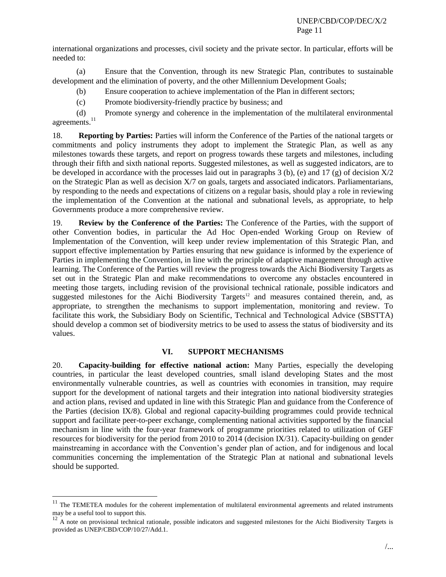international organizations and processes, civil society and the private sector. In particular, efforts will be needed to:

(a) Ensure that the Convention, through its new Strategic Plan, contributes to sustainable development and the elimination of poverty, and the other Millennium Development Goals;

- (b) Ensure cooperation to achieve implementation of the Plan in different sectors;
- (c) Promote biodiversity-friendly practice by business; and

(d) Promote synergy and coherence in the implementation of the multilateral environmental agreements.<sup>11</sup>

18. **Reporting by Parties:** Parties will inform the Conference of the Parties of the national targets or commitments and policy instruments they adopt to implement the Strategic Plan, as well as any milestones towards these targets, and report on progress towards these targets and milestones, including through their fifth and sixth national reports. Suggested milestones, as well as suggested indicators, are to be developed in accordance with the processes laid out in paragraphs 3 (b), (e) and 17 (g) of decision  $X/2$ on the Strategic Plan as well as decision X/7 on goals, targets and associated indicators. Parliamentarians, by responding to the needs and expectations of citizens on a regular basis, should play a role in reviewing the implementation of the Convention at the national and subnational levels, as appropriate, to help Governments produce a more comprehensive review.

19. **Review by the Conference of the Parties:** The Conference of the Parties, with the support of other Convention bodies, in particular the Ad Hoc Open-ended Working Group on Review of Implementation of the Convention, will keep under review implementation of this Strategic Plan, and support effective implementation by Parties ensuring that new guidance is informed by the experience of Parties in implementing the Convention, in line with the principle of adaptive management through active learning. The Conference of the Parties will review the progress towards the Aichi Biodiversity Targets as set out in the Strategic Plan and make recommendations to overcome any obstacles encountered in meeting those targets, including revision of the provisional technical rationale, possible indicators and suggested milestones for the Aichi Biodiversity Targets<sup>12</sup> and measures contained therein, and, as appropriate, to strengthen the mechanisms to support implementation, monitoring and review. To facilitate this work, the Subsidiary Body on Scientific, Technical and Technological Advice (SBSTTA) should develop a common set of biodiversity metrics to be used to assess the status of biodiversity and its values.

### **VI. SUPPORT MECHANISMS**

20. **Capacity-building for effective national action:** Many Parties, especially the developing countries, in particular the least developed countries, small island developing States and the most environmentally vulnerable countries, as well as countries with economies in transition, may require support for the development of national targets and their integration into national biodiversity strategies and action plans, revised and updated in line with this Strategic Plan and guidance from the Conference of the Parties (decision IX/8). Global and regional capacity-building programmes could provide technical support and facilitate peer-to-peer exchange, complementing national activities supported by the financial mechanism in line with the four-year framework of programme priorities related to utilization of GEF resources for biodiversity for the period from 2010 to 2014 (decision IX/31)*.* Capacity-building on gender mainstreaming in accordance with the Convention's gender plan of action, and for indigenous and local communities concerning the implementation of the Strategic Plan at national and subnational levels should be supported.

 $11$  The TEMETEA modules for the coherent implementation of multilateral environmental agreements and related instruments may be a useful tool to support this.

<sup>&</sup>lt;sup>12</sup> A note on provisional technical rationale, possible indicators and suggested milestones for the Aichi Biodiversity Targets is provided as UNEP/CBD/COP/10/27/Add.1.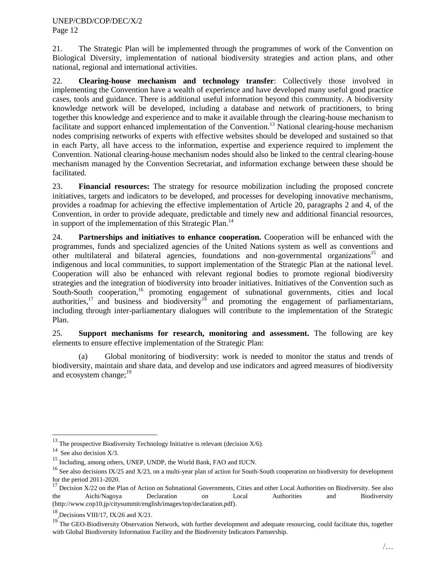21. The Strategic Plan will be implemented through the programmes of work of the Convention on Biological Diversity, implementation of national biodiversity strategies and action plans, and other national, regional and international activities.

22. **Clearing-house mechanism and technology transfer**: Collectively those involved in implementing the Convention have a wealth of experience and have developed many useful good practice cases, tools and guidance. There is additional useful information beyond this community. A biodiversity knowledge network will be developed, including a database and network of practitioners, to bring together this knowledge and experience and to make it available through the clearing-house mechanism to facilitate and support enhanced implementation of the Convention.<sup>13</sup> National clearing-house mechanism nodes comprising networks of experts with effective websites should be developed and sustained so that in each Party, all have access to the information, expertise and experience required to implement the Convention. National clearing-house mechanism nodes should also be linked to the central clearing-house mechanism managed by the Convention Secretariat, and information exchange between these should be facilitated.

23. **Financial resources:** The strategy for resource mobilization including the proposed concrete initiatives, targets and indicators to be developed, and processes for developing innovative mechanisms, provides a roadmap for achieving the effective implementation of Article 20, paragraphs 2 and 4, of the Convention, in order to provide adequate, predictable and timely new and additional financial resources, in support of the implementation of this Strategic Plan.<sup>14</sup>

24. **Partnerships and initiatives to enhance cooperation.** Cooperation will be enhanced with the programmes, funds and specialized agencies of the United Nations system as well as conventions and other multilateral and bilateral agencies, foundations and non-governmental organizations<sup>15</sup> and indigenous and local communities, to support implementation of the Strategic Plan at the national level. Cooperation will also be enhanced with relevant regional bodies to promote regional biodiversity strategies and the integration of biodiversity into broader initiatives. Initiatives of the Convention such as South-South cooperation,<sup>16</sup> promoting engagement of subnational governments, cities and local authorities,<sup>17</sup> and business and biodiversity<sup>18</sup> and promoting the engagement of parliamentarians, including through inter-parliamentary dialogues will contribute to the implementation of the Strategic Plan.

25. **Support mechanisms for research, monitoring and assessment.** The following are key elements to ensure effective implementation of the Strategic Plan:

(a) Global monitoring of biodiversity: work is needed to monitor the status and trends of biodiversity, maintain and share data, and develop and use indicators and agreed measures of biodiversity and ecosystem change: $19$ 

l

<sup>&</sup>lt;sup>13</sup> The prospective Biodiversity Technology Initiative is relevant (decision  $X/6$ ).

<sup>&</sup>lt;sup>14</sup> See also decision  $X/3$ .

<sup>15</sup> Including, among others, UNEP, UNDP, the World Bank, FAO and IUCN.

 $16$  See also decisions IX/25 and X/23, on a multi-year plan of action for South-South cooperation on biodiversity for development for the period 2011-2020.

 $17$  Decision X/22 on the Plan of Action on Subnational Governments, Cities and other Local Authorities on Biodiversity. See also the Aichi/Nagoya Declaration on Local Authorities and Biodiversity (http://www.cop10.jp/citysummit/english/images/top/declaration.pdf).

 $18$  Decisions VIII/17, IX/26 and X/21.

<sup>&</sup>lt;sup>19</sup> The GEO-Biodiversity Observation Network, with further development and adequate resourcing, could facilitate this, together with Global Biodiversity Information Facility and the Biodiversity Indicators Partnership.